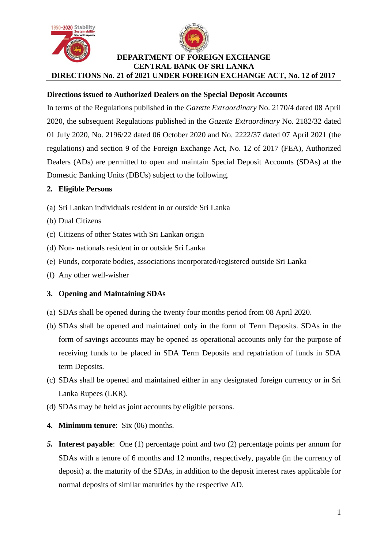



# **Directions issued to Authorized Dealers on the Special Deposit Accounts**

In terms of the Regulations published in the *Gazette Extraordinary* No. 2170/4 dated 08 April 2020, the subsequent Regulations published in the *Gazette Extraordinary* No. 2182/32 dated 01 July 2020, No. 2196/22 dated 06 October 2020 and No. 2222/37 dated 07 April 2021 (the regulations) and section 9 of the Foreign Exchange Act, No. 12 of 2017 (FEA), Authorized Dealers (ADs) are permitted to open and maintain Special Deposit Accounts (SDAs) at the Domestic Banking Units (DBUs) subject to the following.

## **2. Eligible Persons**

- (a) Sri Lankan individuals resident in or outside Sri Lanka
- (b) Dual Citizens
- (c) Citizens of other States with Sri Lankan origin
- (d) Non- nationals resident in or outside Sri Lanka
- (e) Funds, corporate bodies, associations incorporated/registered outside Sri Lanka
- (f) Any other well-wisher

## **3. Opening and Maintaining SDAs**

- (a) SDAs shall be opened during the twenty four months period from 08 April 2020.
- (b) SDAs shall be opened and maintained only in the form of Term Deposits. SDAs in the form of savings accounts may be opened as operational accounts only for the purpose of receiving funds to be placed in SDA Term Deposits and repatriation of funds in SDA term Deposits.
- (c) SDAs shall be opened and maintained either in any designated foreign currency or in Sri Lanka Rupees (LKR).
- (d) SDAs may be held as joint accounts by eligible persons.
- **4. Minimum tenure**: Six (06) months.
- *5.* **Interest payable**: One (1) percentage point and two (2) percentage points per annum for SDAs with a tenure of 6 months and 12 months, respectively, payable (in the currency of deposit) at the maturity of the SDAs, in addition to the deposit interest rates applicable for normal deposits of similar maturities by the respective AD.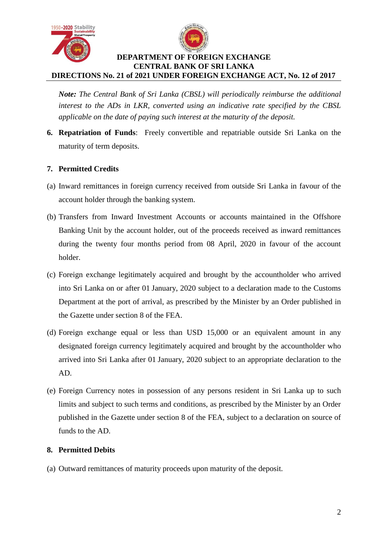



*Note: The Central Bank of Sri Lanka (CBSL) will periodically reimburse the additional interest to the ADs in LKR, converted using an indicative rate specified by the CBSL applicable on the date of paying such interest at the maturity of the deposit.* 

**6. Repatriation of Funds**: Freely convertible and repatriable outside Sri Lanka on the maturity of term deposits.

## **7. Permitted Credits**

- (a) Inward remittances in foreign currency received from outside Sri Lanka in favour of the account holder through the banking system.
- (b) Transfers from Inward Investment Accounts or accounts maintained in the Offshore Banking Unit by the account holder, out of the proceeds received as inward remittances during the twenty four months period from 08 April, 2020 in favour of the account holder.
- (c) Foreign exchange legitimately acquired and brought by the accountholder who arrived into Sri Lanka on or after 01 January, 2020 subject to a declaration made to the Customs Department at the port of arrival, as prescribed by the Minister by an Order published in the Gazette under section 8 of the FEA.
- (d) Foreign exchange equal or less than USD 15,000 or an equivalent amount in any designated foreign currency legitimately acquired and brought by the accountholder who arrived into Sri Lanka after 01 January, 2020 subject to an appropriate declaration to the AD.
- (e) Foreign Currency notes in possession of any persons resident in Sri Lanka up to such limits and subject to such terms and conditions, as prescribed by the Minister by an Order published in the Gazette under section 8 of the FEA, subject to a declaration on source of funds to the AD.

## **8. Permitted Debits**

(a) Outward remittances of maturity proceeds upon maturity of the deposit.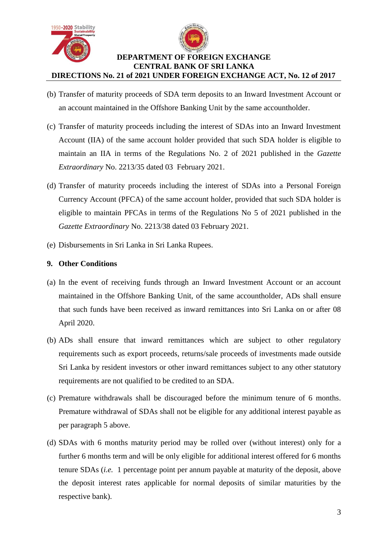



- (b) Transfer of maturity proceeds of SDA term deposits to an Inward Investment Account or an account maintained in the Offshore Banking Unit by the same accountholder.
- (c) Transfer of maturity proceeds including the interest of SDAs into an Inward Investment Account (IIA) of the same account holder provided that such SDA holder is eligible to maintain an IIA in terms of the Regulations No. 2 of 2021 published in the *Gazette Extraordinary* No. 2213/35 dated 03 February 2021.
- (d) Transfer of maturity proceeds including the interest of SDAs into a Personal Foreign Currency Account (PFCA) of the same account holder, provided that such SDA holder is eligible to maintain PFCAs in terms of the Regulations No 5 of 2021 published in the *Gazette Extraordinary* No. 2213/38 dated 03 February 2021.
- (e) Disbursements in Sri Lanka in Sri Lanka Rupees.

# **9. Other Conditions**

- (a) In the event of receiving funds through an Inward Investment Account or an account maintained in the Offshore Banking Unit, of the same accountholder, ADs shall ensure that such funds have been received as inward remittances into Sri Lanka on or after 08 April 2020.
- (b) ADs shall ensure that inward remittances which are subject to other regulatory requirements such as export proceeds, returns/sale proceeds of investments made outside Sri Lanka by resident investors or other inward remittances subject to any other statutory requirements are not qualified to be credited to an SDA.
- (c) Premature withdrawals shall be discouraged before the minimum tenure of 6 months. Premature withdrawal of SDAs shall not be eligible for any additional interest payable as per paragraph 5 above.
- (d) SDAs with 6 months maturity period may be rolled over (without interest) only for a further 6 months term and will be only eligible for additional interest offered for 6 months tenure SDAs (*i.e.* 1 percentage point per annum payable at maturity of the deposit, above the deposit interest rates applicable for normal deposits of similar maturities by the respective bank).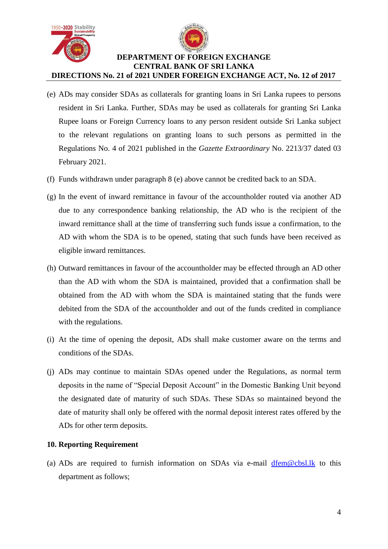



- (e) ADs may consider SDAs as collaterals for granting loans in Sri Lanka rupees to persons resident in Sri Lanka. Further, SDAs may be used as collaterals for granting Sri Lanka Rupee loans or Foreign Currency loans to any person resident outside Sri Lanka subject to the relevant regulations on granting loans to such persons as permitted in the Regulations No. 4 of 2021 published in the *Gazette Extraordinary* No. 2213/37 dated 03 February 2021.
- (f) Funds withdrawn under paragraph 8 (e) above cannot be credited back to an SDA.
- (g) In the event of inward remittance in favour of the accountholder routed via another AD due to any correspondence banking relationship, the AD who is the recipient of the inward remittance shall at the time of transferring such funds issue a confirmation, to the AD with whom the SDA is to be opened, stating that such funds have been received as eligible inward remittances.
- (h) Outward remittances in favour of the accountholder may be effected through an AD other than the AD with whom the SDA is maintained, provided that a confirmation shall be obtained from the AD with whom the SDA is maintained stating that the funds were debited from the SDA of the accountholder and out of the funds credited in compliance with the regulations.
- (i) At the time of opening the deposit, ADs shall make customer aware on the terms and conditions of the SDAs.
- (j) ADs may continue to maintain SDAs opened under the Regulations, as normal term deposits in the name of "Special Deposit Account" in the Domestic Banking Unit beyond the designated date of maturity of such SDAs. These SDAs so maintained beyond the date of maturity shall only be offered with the normal deposit interest rates offered by the ADs for other term deposits.

#### **10. Reporting Requirement**

(a) ADs are required to furnish information on SDAs via e-mail [dfem@cbsl.lk](mailto:dfem@cbsl.lk) to this department as follows;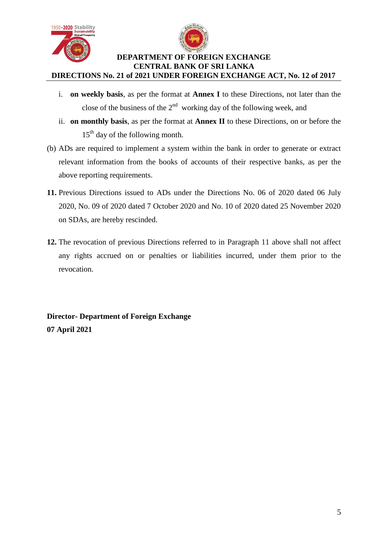



- i. **on weekly basis**, as per the format at **Annex I** to these Directions, not later than the close of the business of the  $2<sup>nd</sup>$  working day of the following week, and
- ii. **on monthly basis**, as per the format at **Annex II** to these Directions, on or before the  $15<sup>th</sup>$  day of the following month.
- (b) ADs are required to implement a system within the bank in order to generate or extract relevant information from the books of accounts of their respective banks, as per the above reporting requirements.
- **11.** Previous Directions issued to ADs under the Directions No. 06 of 2020 dated 06 July 2020, No. 09 of 2020 dated 7 October 2020 and No. 10 of 2020 dated 25 November 2020 on SDAs, are hereby rescinded.
- **12.** The revocation of previous Directions referred to in Paragraph 11 above shall not affect any rights accrued on or penalties or liabilities incurred, under them prior to the revocation.

**Director- Department of Foreign Exchange 07 April 2021**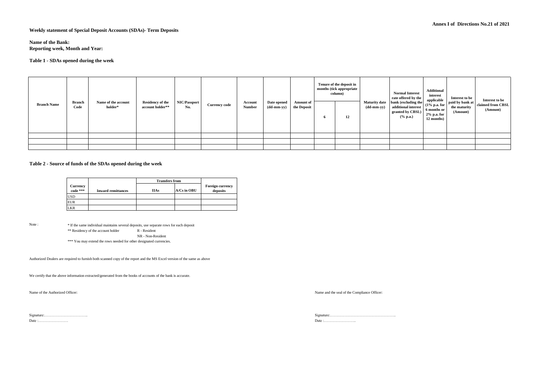**Weekly statement of Special Deposit Accounts (SDAs)- Term Deposits**

**Name of the Bank: Reporting week, Month and Year:** 

#### **Table 1 - SDAs opened during the week**

| <b>Branch Name</b> | <b>Branch</b><br>Code | Name of the account<br>holder* | <b>Residency of the</b><br>account holder** | NIC/Passport<br>No. | <b>Currency code</b> | Account<br><b>Number</b> | Date opened<br>(dd-mm-yy) | <b>Amount</b> of<br>the Deposit | Tenure of the deposit in<br>months (tick appropriate<br>column)<br>12 | <b>Maturity date</b><br>(dd-mm-yy) | <b>Normal Interest</b><br>rate offered by the<br>bank (excluding the<br>additional interest<br>granted by CBSL)<br>% p.a. | <b>Additional</b><br>interest<br>applicable<br>6 months or<br>2% p.a. for<br>12 months) | Interest to be<br>$\sim$ 10% p.a. for $\vert$ paid by bank at 1<br>the maturity<br>(Amount) | Interest to be<br>claimed from CBSL<br>(Amount) |
|--------------------|-----------------------|--------------------------------|---------------------------------------------|---------------------|----------------------|--------------------------|---------------------------|---------------------------------|-----------------------------------------------------------------------|------------------------------------|---------------------------------------------------------------------------------------------------------------------------|-----------------------------------------------------------------------------------------|---------------------------------------------------------------------------------------------|-------------------------------------------------|
|                    |                       |                                |                                             |                     |                      |                          |                           |                                 |                                                                       |                                    |                                                                                                                           |                                                                                         |                                                                                             |                                                 |
|                    |                       |                                |                                             |                     |                      |                          |                           |                                 |                                                                       |                                    |                                                                                                                           |                                                                                         |                                                                                             |                                                 |
|                    |                       |                                |                                             |                     |                      |                          |                           |                                 |                                                                       |                                    |                                                                                                                           |                                                                                         |                                                                                             |                                                 |

#### **Table 2 - Source of funds of the SDAs opened during the week**

|                      |                           | <b>Transfers from</b> |                 |                                     |  |
|----------------------|---------------------------|-----------------------|-----------------|-------------------------------------|--|
| Currency<br>code *** | <b>Inward remittances</b> | <b>IIAs</b>           | $A/Cs$ in $OBU$ | <b>Foreign currency</b><br>deposits |  |
| <b>USD</b>           |                           |                       |                 |                                     |  |
| <b>EUR</b>           |                           |                       |                 |                                     |  |
| <b>LKR</b>           |                           |                       |                 |                                     |  |

Note : \* If the same individual maintains several deposits, use separate rows for each deposit \*\* Residency of the account holder R - Resident NR - Non-Resident

\*\*\* You may extend the rows needed for other designated currencies.

Authorized Dealers are required to furnish both scanned copy of the report and the MS Excel version of the same as above

We certify that the above information extracted/generated from the books of accounts of the bank is accurate.

Name of the Authorized Officer:

Name and the seal of the Compliance Officer:

Date :…………………… Date :……………………..

Signature:…………………………….. Signature:……………………………………………..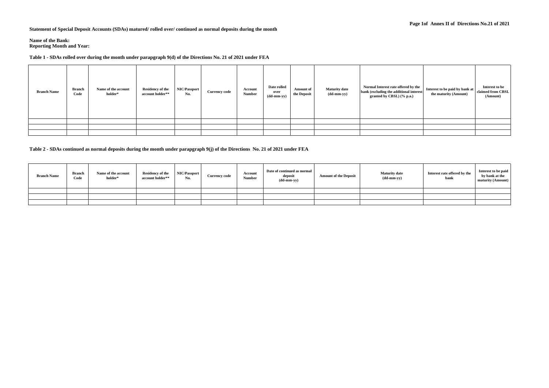**Statement of Special Deposit Accounts (SDAs) matured/ rolled over/ continued as normal deposits during the month**

#### **Name of the Bank:**

**Reporting Month and Year:** 

#### **Table 1 - SDAs rolled over during the month under parapgraph 9(d) of the Directions No. 21 of 2021 under FEA**

| <b>Branch Name</b> | <b>Branch</b><br>Code | Name of the account<br>holder* | <b>Residency of the</b><br>account holder** | NIC/Passport<br>No. | <b>Currency code</b> | Account<br><b>Number</b> | Date rolled<br>over<br>$(dd{\text{-}\!\!\,\text{mm-}}\text{\bf y})$ | <b>Amount of</b><br>the Deposit | <b>Maturity date</b><br>$(dd{\text{-}\!\!\,\text{mm-}}\text{\bf y}\text{\bf y})$ | Normal Interest rate offered by the<br>bank (excluding the additional interest<br>granted by CBSL) (% p.a.) | Interest to be paid by bank at<br>the maturity (Amount) | Interest to be<br>claimed from CBSL<br>(Amount) |
|--------------------|-----------------------|--------------------------------|---------------------------------------------|---------------------|----------------------|--------------------------|---------------------------------------------------------------------|---------------------------------|----------------------------------------------------------------------------------|-------------------------------------------------------------------------------------------------------------|---------------------------------------------------------|-------------------------------------------------|
|                    |                       |                                |                                             |                     |                      |                          |                                                                     |                                 |                                                                                  |                                                                                                             |                                                         |                                                 |
|                    |                       |                                |                                             |                     |                      |                          |                                                                     |                                 |                                                                                  |                                                                                                             |                                                         |                                                 |
|                    |                       |                                |                                             |                     |                      |                          |                                                                     |                                 |                                                                                  |                                                                                                             |                                                         |                                                 |

**Table 2 - SDAs continued as normal deposits during the month under parapgraph 9(j) of the Directions No. 21 of 2021 under FEA** 

| <b>Branch Name</b> | <b>Branch</b><br>Code | Name of the account<br>holder* | <b>Residency of the</b><br>account holder** | NIC/Passport<br>No. | <b>Currency code</b> | Account<br>Number | Date of continued as normal<br>deposit<br>$(dd{\text{-}\!\text{\rm mm-}}\text{\rm yy})$ | <b>Amount of the Deposit</b> | <b>Maturity</b> date<br>$(dd{\text{-}\!\text{\rm mm-}}\text{\rm yy})$ | Interest rate offered by the<br>bank | Interest to be paid<br>by bank at the<br>maturity (Amount) |
|--------------------|-----------------------|--------------------------------|---------------------------------------------|---------------------|----------------------|-------------------|-----------------------------------------------------------------------------------------|------------------------------|-----------------------------------------------------------------------|--------------------------------------|------------------------------------------------------------|
|                    |                       |                                |                                             |                     |                      |                   |                                                                                         |                              |                                                                       |                                      |                                                            |
|                    |                       |                                |                                             |                     |                      |                   |                                                                                         |                              |                                                                       |                                      |                                                            |
|                    |                       |                                |                                             |                     |                      |                   |                                                                                         |                              |                                                                       |                                      |                                                            |